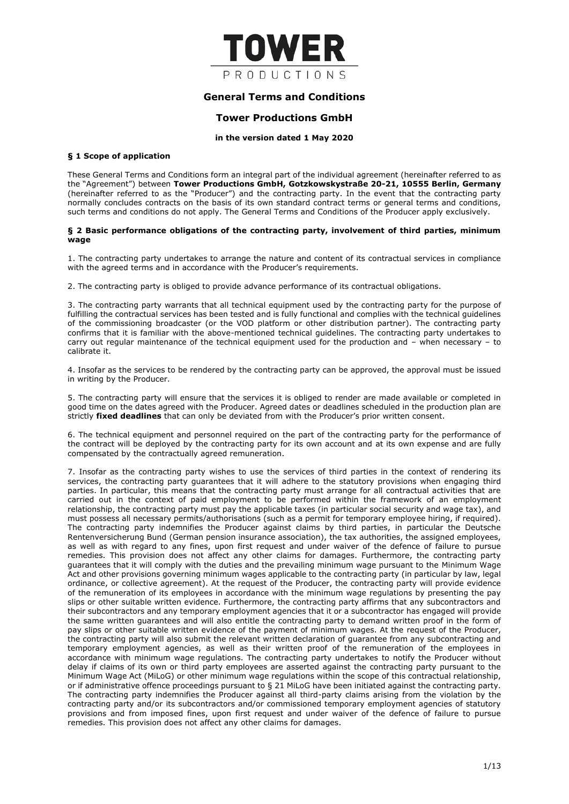

# **General Terms and Conditions**

# **Tower Productions GmbH**

## **in the version dated 1 May 2020**

## **§ 1 Scope of application**

These General Terms and Conditions form an integral part of the individual agreement (hereinafter referred to as the "Agreement") between **Tower Productions GmbH, Gotzkowskystraße 20-21, 10555 Berlin, Germany** (hereinafter referred to as the "Producer") and the contracting party. In the event that the contracting party normally concludes contracts on the basis of its own standard contract terms or general terms and conditions, such terms and conditions do not apply. The General Terms and Conditions of the Producer apply exclusively.

## **§ 2 Basic performance obligations of the contracting party, involvement of third parties, minimum wage**

1. The contracting party undertakes to arrange the nature and content of its contractual services in compliance with the agreed terms and in accordance with the Producer's requirements.

2. The contracting party is obliged to provide advance performance of its contractual obligations.

3. The contracting party warrants that all technical equipment used by the contracting party for the purpose of fulfilling the contractual services has been tested and is fully functional and complies with the technical guidelines of the commissioning broadcaster (or the VOD platform or other distribution partner). The contracting party confirms that it is familiar with the above-mentioned technical guidelines. The contracting party undertakes to carry out regular maintenance of the technical equipment used for the production and – when necessary – to calibrate it.

4. Insofar as the services to be rendered by the contracting party can be approved, the approval must be issued in writing by the Producer.

5. The contracting party will ensure that the services it is obliged to render are made available or completed in good time on the dates agreed with the Producer. Agreed dates or deadlines scheduled in the production plan are strictly **fixed deadlines** that can only be deviated from with the Producer's prior written consent.

6. The technical equipment and personnel required on the part of the contracting party for the performance of the contract will be deployed by the contracting party for its own account and at its own expense and are fully compensated by the contractually agreed remuneration.

7. Insofar as the contracting party wishes to use the services of third parties in the context of rendering its services, the contracting party guarantees that it will adhere to the statutory provisions when engaging third parties. In particular, this means that the contracting party must arrange for all contractual activities that are carried out in the context of paid employment to be performed within the framework of an employment relationship, the contracting party must pay the applicable taxes (in particular social security and wage tax), and must possess all necessary permits/authorisations (such as a permit for temporary employee hiring, if required). The contracting party indemnifies the Producer against claims by third parties, in particular the Deutsche Rentenversicherung Bund (German pension insurance association), the tax authorities, the assigned employees, as well as with regard to any fines, upon first request and under waiver of the defence of failure to pursue remedies. This provision does not affect any other claims for damages. Furthermore, the contracting party guarantees that it will comply with the duties and the prevailing minimum wage pursuant to the Minimum Wage Act and other provisions governing minimum wages applicable to the contracting party (in particular by law, legal ordinance, or collective agreement). At the request of the Producer, the contracting party will provide evidence of the remuneration of its employees in accordance with the minimum wage regulations by presenting the pay slips or other suitable written evidence. Furthermore, the contracting party affirms that any subcontractors and their subcontractors and any temporary employment agencies that it or a subcontractor has engaged will provide the same written guarantees and will also entitle the contracting party to demand written proof in the form of pay slips or other suitable written evidence of the payment of minimum wages. At the request of the Producer, the contracting party will also submit the relevant written declaration of guarantee from any subcontracting and temporary employment agencies, as well as their written proof of the remuneration of the employees in accordance with minimum wage regulations. The contracting party undertakes to notify the Producer without delay if claims of its own or third party employees are asserted against the contracting party pursuant to the Minimum Wage Act (MiLoG) or other minimum wage regulations within the scope of this contractual relationship, or if administrative offence proceedings pursuant to § 21 MiLoG have been initiated against the contracting party. The contracting party indemnifies the Producer against all third-party claims arising from the violation by the contracting party and/or its subcontractors and/or commissioned temporary employment agencies of statutory provisions and from imposed fines, upon first request and under waiver of the defence of failure to pursue remedies. This provision does not affect any other claims for damages.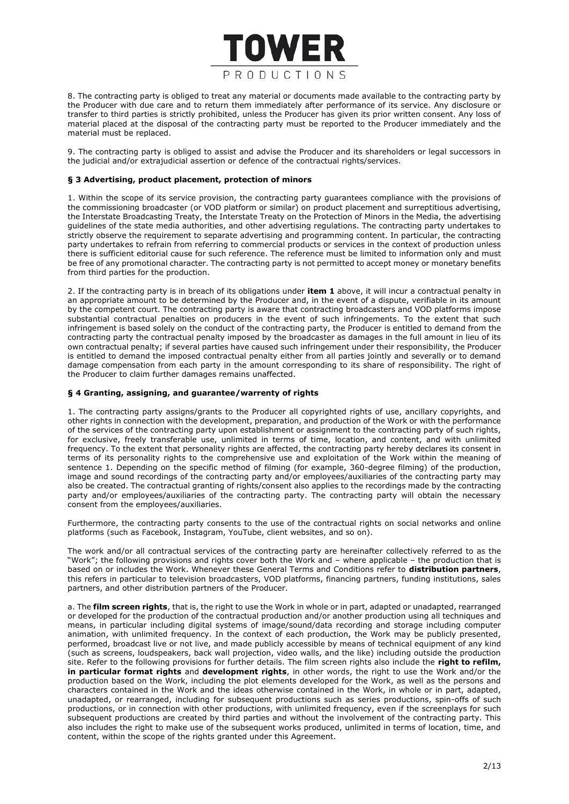

8. The contracting party is obliged to treat any material or documents made available to the contracting party by the Producer with due care and to return them immediately after performance of its service. Any disclosure or transfer to third parties is strictly prohibited, unless the Producer has given its prior written consent. Any loss of material placed at the disposal of the contracting party must be reported to the Producer immediately and the material must be replaced.

9. The contracting party is obliged to assist and advise the Producer and its shareholders or legal successors in the judicial and/or extrajudicial assertion or defence of the contractual rights/services.

# **§ 3 Advertising, product placement, protection of minors**

1. Within the scope of its service provision, the contracting party guarantees compliance with the provisions of the commissioning broadcaster (or VOD platform or similar) on product placement and surreptitious advertising, the Interstate Broadcasting Treaty, the Interstate Treaty on the Protection of Minors in the Media, the advertising guidelines of the state media authorities, and other advertising regulations. The contracting party undertakes to strictly observe the requirement to separate advertising and programming content. In particular, the contracting party undertakes to refrain from referring to commercial products or services in the context of production unless there is sufficient editorial cause for such reference. The reference must be limited to information only and must be free of any promotional character. The contracting party is not permitted to accept money or monetary benefits from third parties for the production.

2. If the contracting party is in breach of its obligations under **item 1** above, it will incur a contractual penalty in an appropriate amount to be determined by the Producer and, in the event of a dispute, verifiable in its amount by the competent court. The contracting party is aware that contracting broadcasters and VOD platforms impose substantial contractual penalties on producers in the event of such infringements. To the extent that such infringement is based solely on the conduct of the contracting party, the Producer is entitled to demand from the contracting party the contractual penalty imposed by the broadcaster as damages in the full amount in lieu of its own contractual penalty; if several parties have caused such infringement under their responsibility, the Producer is entitled to demand the imposed contractual penalty either from all parties jointly and severally or to demand damage compensation from each party in the amount corresponding to its share of responsibility. The right of the Producer to claim further damages remains unaffected.

#### **§ 4 Granting, assigning, and guarantee/warrenty of rights**

1. The contracting party assigns/grants to the Producer all copyrighted rights of use, ancillary copyrights, and other rights in connection with the development, preparation, and production of the Work or with the performance of the services of the contracting party upon establishment or assignment to the contracting party of such rights, for exclusive, freely transferable use, unlimited in terms of time, location, and content, and with unlimited frequency. To the extent that personality rights are affected, the contracting party hereby declares its consent in terms of its personality rights to the comprehensive use and exploitation of the Work within the meaning of sentence 1. Depending on the specific method of filming (for example, 360-degree filming) of the production, image and sound recordings of the contracting party and/or employees/auxiliaries of the contracting party may also be created. The contractual granting of rights/consent also applies to the recordings made by the contracting party and/or employees/auxiliaries of the contracting party. The contracting party will obtain the necessary consent from the employees/auxiliaries.

Furthermore, the contracting party consents to the use of the contractual rights on social networks and online platforms (such as Facebook, Instagram, YouTube, client websites, and so on).

The work and/or all contractual services of the contracting party are hereinafter collectively referred to as the "Work"; the following provisions and rights cover both the Work and – where applicable – the production that is based on or includes the Work. Whenever these General Terms and Conditions refer to **distribution partners**, this refers in particular to television broadcasters, VOD platforms, financing partners, funding institutions, sales partners, and other distribution partners of the Producer.

a. The **film screen rights**, that is, the right to use the Work in whole or in part, adapted or unadapted, rearranged or developed for the production of the contractual production and/or another production using all techniques and means, in particular including digital systems of image/sound/data recording and storage including computer animation, with unlimited frequency. In the context of each production, the Work may be publicly presented, performed, broadcast live or not live, and made publicly accessible by means of technical equipment of any kind (such as screens, loudspeakers, back wall projection, video walls, and the like) including outside the production site. Refer to the following provisions for further details. The film screen rights also include the **right to refilm, in particular format rights** and **development rights**, in other words, the right to use the Work and/or the production based on the Work, including the plot elements developed for the Work, as well as the persons and characters contained in the Work and the ideas otherwise contained in the Work, in whole or in part, adapted, unadapted, or rearranged, including for subsequent productions such as series productions, spin-offs of such productions, or in connection with other productions, with unlimited frequency, even if the screenplays for such subsequent productions are created by third parties and without the involvement of the contracting party. This also includes the right to make use of the subsequent works produced, unlimited in terms of location, time, and content, within the scope of the rights granted under this Agreement.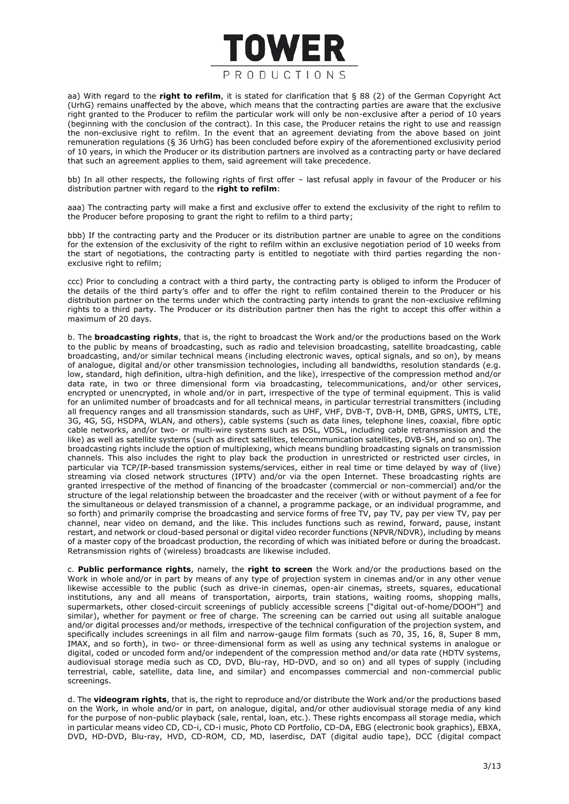

aa) With regard to the **right to refilm**, it is stated for clarification that § 88 (2) of the German Copyright Act (UrhG) remains unaffected by the above, which means that the contracting parties are aware that the exclusive right granted to the Producer to refilm the particular work will only be non-exclusive after a period of 10 years (beginning with the conclusion of the contract). In this case, the Producer retains the right to use and reassign the non-exclusive right to refilm. In the event that an agreement deviating from the above based on joint remuneration regulations (§ 36 UrhG) has been concluded before expiry of the aforementioned exclusivity period of 10 years, in which the Producer or its distribution partners are involved as a contracting party or have declared that such an agreement applies to them, said agreement will take precedence.

bb) In all other respects, the following rights of first offer – last refusal apply in favour of the Producer or his distribution partner with regard to the **right to refilm**:

aaa) The contracting party will make a first and exclusive offer to extend the exclusivity of the right to refilm to the Producer before proposing to grant the right to refilm to a third party;

bbb) If the contracting party and the Producer or its distribution partner are unable to agree on the conditions for the extension of the exclusivity of the right to refilm within an exclusive negotiation period of 10 weeks from the start of negotiations, the contracting party is entitled to negotiate with third parties regarding the nonexclusive right to refilm:

ccc) Prior to concluding a contract with a third party, the contracting party is obliged to inform the Producer of the details of the third party's offer and to offer the right to refilm contained therein to the Producer or his distribution partner on the terms under which the contracting party intends to grant the non-exclusive refilming rights to a third party. The Producer or its distribution partner then has the right to accept this offer within a maximum of 20 days.

b. The **broadcasting rights**, that is, the right to broadcast the Work and/or the productions based on the Work to the public by means of broadcasting, such as radio and television broadcasting, satellite broadcasting, cable broadcasting, and/or similar technical means (including electronic waves, optical signals, and so on), by means of analogue, digital and/or other transmission technologies, including all bandwidths, resolution standards (e.g. low, standard, high definition, ultra-high definition, and the like), irrespective of the compression method and/or data rate, in two or three dimensional form via broadcasting, telecommunications, and/or other services, encrypted or unencrypted, in whole and/or in part, irrespective of the type of terminal equipment. This is valid for an unlimited number of broadcasts and for all technical means, in particular terrestrial transmitters (including all frequency ranges and all transmission standards, such as UHF, VHF, DVB-T, DVB-H, DMB, GPRS, UMTS, LTE, 3G, 4G, 5G, HSDPA, WLAN, and others), cable systems (such as data lines, telephone lines, coaxial, fibre optic cable networks, and/or two- or multi-wire systems such as DSL, VDSL, including cable retransmission and the like) as well as satellite systems (such as direct satellites, telecommunication satellites, DVB-SH, and so on). The broadcasting rights include the option of multiplexing, which means bundling broadcasting signals on transmission channels. This also includes the right to play back the production in unrestricted or restricted user circles, in particular via TCP/IP-based transmission systems/services, either in real time or time delayed by way of (live) streaming via closed network structures (IPTV) and/or via the open Internet. These broadcasting rights are granted irrespective of the method of financing of the broadcaster (commercial or non-commercial) and/or the structure of the legal relationship between the broadcaster and the receiver (with or without payment of a fee for the simultaneous or delayed transmission of a channel, a programme package, or an individual programme, and so forth) and primarily comprise the broadcasting and service forms of free TV, pay TV, pay per view TV, pay per channel, near video on demand, and the like. This includes functions such as rewind, forward, pause, instant restart, and network or cloud-based personal or digital video recorder functions (NPVR/NDVR), including by means of a master copy of the broadcast production, the recording of which was initiated before or during the broadcast. Retransmission rights of (wireless) broadcasts are likewise included.

c. **Public performance rights**, namely, the **right to screen** the Work and/or the productions based on the Work in whole and/or in part by means of any type of projection system in cinemas and/or in any other venue likewise accessible to the public (such as drive-in cinemas, open-air cinemas, streets, squares, educational institutions, any and all means of transportation, airports, train stations, waiting rooms, shopping malls, supermarkets, other closed-circuit screenings of publicly accessible screens ["digital out-of-home/DOOH"] and similar), whether for payment or free of charge. The screening can be carried out using all suitable analogue and/or digital processes and/or methods, irrespective of the technical configuration of the projection system, and specifically includes screenings in all film and narrow-gauge film formats (such as 70, 35, 16, 8, Super 8 mm, IMAX, and so forth), in two- or three-dimensional form as well as using any technical systems in analogue or digital, coded or uncoded form and/or independent of the compression method and/or data rate (HDTV systems, audiovisual storage media such as CD, DVD, Blu-ray, HD-DVD, and so on) and all types of supply (including terrestrial, cable, satellite, data line, and similar) and encompasses commercial and non-commercial public screenings.

d. The **videogram rights**, that is, the right to reproduce and/or distribute the Work and/or the productions based on the Work, in whole and/or in part, on analogue, digital, and/or other audiovisual storage media of any kind for the purpose of non-public playback (sale, rental, loan, etc.). These rights encompass all storage media, which in particular means video CD, CD-i, CD-i music, Photo CD Portfolio, CD-DA, EBG (electronic book graphics), EBXA, DVD, HD-DVD, Blu-ray, HVD, CD-ROM, CD, MD, laserdisc, DAT (digital audio tape), DCC (digital compact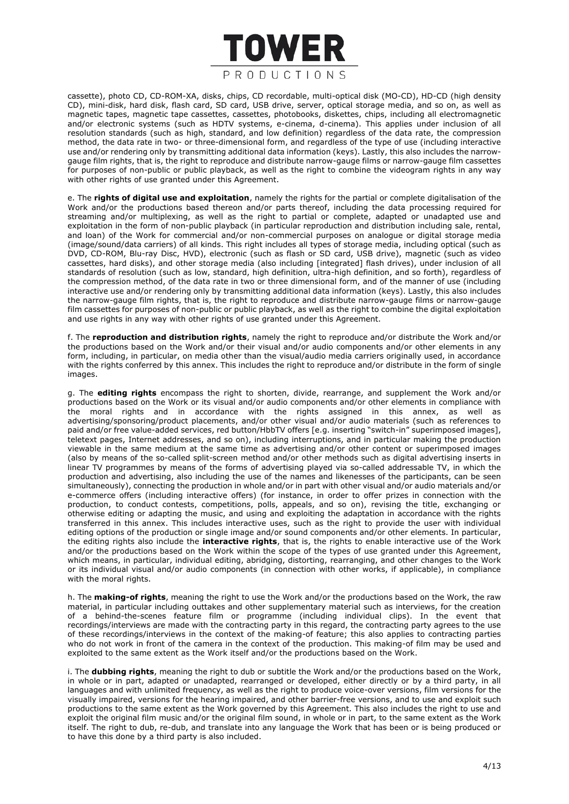

cassette), photo CD, CD-ROM-XA, disks, chips, CD recordable, multi-optical disk (MO-CD), HD-CD (high density CD), mini-disk, hard disk, flash card, SD card, USB drive, server, optical storage media, and so on, as well as magnetic tapes, magnetic tape cassettes, cassettes, photobooks, diskettes, chips, including all electromagnetic and/or electronic systems (such as HDTV systems, e-cinema, d-cinema). This applies under inclusion of all resolution standards (such as high, standard, and low definition) regardless of the data rate, the compression method, the data rate in two- or three-dimensional form, and regardless of the type of use (including interactive use and/or rendering only by transmitting additional data information (keys). Lastly, this also includes the narrowgauge film rights, that is, the right to reproduce and distribute narrow-gauge films or narrow-gauge film cassettes for purposes of non-public or public playback, as well as the right to combine the videogram rights in any way with other rights of use granted under this Agreement.

e. The **rights of digital use and exploitation**, namely the rights for the partial or complete digitalisation of the Work and/or the productions based thereon and/or parts thereof, including the data processing required for streaming and/or multiplexing, as well as the right to partial or complete, adapted or unadapted use and exploitation in the form of non-public playback (in particular reproduction and distribution including sale, rental, and loan) of the Work for commercial and/or non-commercial purposes on analogue or digital storage media (image/sound/data carriers) of all kinds. This right includes all types of storage media, including optical (such as DVD, CD-ROM, Blu-ray Disc, HVD), electronic (such as flash or SD card, USB drive), magnetic (such as video cassettes, hard disks), and other storage media (also including [integrated] flash drives), under inclusion of all standards of resolution (such as low, standard, high definition, ultra-high definition, and so forth), regardless of the compression method, of the data rate in two or three dimensional form, and of the manner of use (including interactive use and/or rendering only by transmitting additional data information (keys). Lastly, this also includes the narrow-gauge film rights, that is, the right to reproduce and distribute narrow-gauge films or narrow-gauge film cassettes for purposes of non-public or public playback, as well as the right to combine the digital exploitation and use rights in any way with other rights of use granted under this Agreement.

f. The **reproduction and distribution rights**, namely the right to reproduce and/or distribute the Work and/or the productions based on the Work and/or their visual and/or audio components and/or other elements in any form, including, in particular, on media other than the visual/audio media carriers originally used, in accordance with the rights conferred by this annex. This includes the right to reproduce and/or distribute in the form of single images.

g. The **editing rights** encompass the right to shorten, divide, rearrange, and supplement the Work and/or productions based on the Work or its visual and/or audio components and/or other elements in compliance with the moral rights and in accordance with the rights assigned in this annex, as well as advertising/sponsoring/product placements, and/or other visual and/or audio materials (such as references to paid and/or free value-added services, red button/HbbTV offers [e.g. inserting "switch-in" superimposed images], teletext pages, Internet addresses, and so on), including interruptions, and in particular making the production viewable in the same medium at the same time as advertising and/or other content or superimposed images (also by means of the so-called split-screen method and/or other methods such as digital advertising inserts in linear TV programmes by means of the forms of advertising played via so-called addressable TV, in which the production and advertising, also including the use of the names and likenesses of the participants, can be seen simultaneously), connecting the production in whole and/or in part with other visual and/or audio materials and/or e-commerce offers (including interactive offers) (for instance, in order to offer prizes in connection with the production, to conduct contests, competitions, polls, appeals, and so on), revising the title, exchanging or otherwise editing or adapting the music, and using and exploiting the adaptation in accordance with the rights transferred in this annex. This includes interactive uses, such as the right to provide the user with individual editing options of the production or single image and/or sound components and/or other elements. In particular, the editing rights also include the **interactive rights**, that is, the rights to enable interactive use of the Work and/or the productions based on the Work within the scope of the types of use granted under this Agreement, which means, in particular, individual editing, abridging, distorting, rearranging, and other changes to the Work or its individual visual and/or audio components (in connection with other works, if applicable), in compliance with the moral rights.

h. The **making-of rights**, meaning the right to use the Work and/or the productions based on the Work, the raw material, in particular including outtakes and other supplementary material such as interviews, for the creation of a behind-the-scenes feature film or programme (including individual clips). In the event that recordings/interviews are made with the contracting party in this regard, the contracting party agrees to the use of these recordings/interviews in the context of the making-of feature; this also applies to contracting parties who do not work in front of the camera in the context of the production. This making-of film may be used and exploited to the same extent as the Work itself and/or the productions based on the Work.

i. The **dubbing rights**, meaning the right to dub or subtitle the Work and/or the productions based on the Work, in whole or in part, adapted or unadapted, rearranged or developed, either directly or by a third party, in all languages and with unlimited frequency, as well as the right to produce voice-over versions, film versions for the visually impaired, versions for the hearing impaired, and other barrier-free versions, and to use and exploit such productions to the same extent as the Work governed by this Agreement. This also includes the right to use and exploit the original film music and/or the original film sound, in whole or in part, to the same extent as the Work itself. The right to dub, re-dub, and translate into any language the Work that has been or is being produced or to have this done by a third party is also included.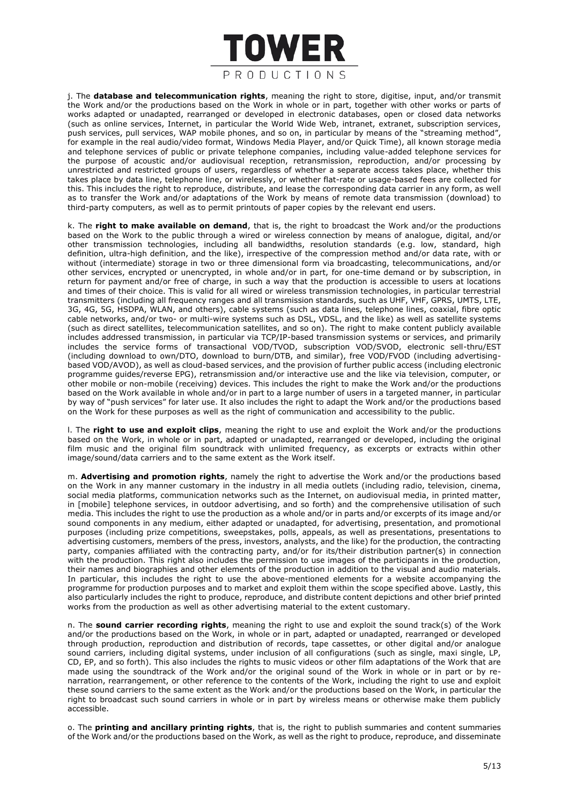

j. The **database and telecommunication rights**, meaning the right to store, digitise, input, and/or transmit the Work and/or the productions based on the Work in whole or in part, together with other works or parts of works adapted or unadapted, rearranged or developed in electronic databases, open or closed data networks (such as online services, Internet, in particular the World Wide Web, intranet, extranet, subscription services, push services, pull services, WAP mobile phones, and so on, in particular by means of the "streaming method" for example in the real audio/video format, Windows Media Player, and/or Quick Time), all known storage media and telephone services of public or private telephone companies, including value-added telephone services for the purpose of acoustic and/or audiovisual reception, retransmission, reproduction, and/or processing by unrestricted and restricted groups of users, regardless of whether a separate access takes place, whether this takes place by data line, telephone line, or wirelessly, or whether flat-rate or usage-based fees are collected for this. This includes the right to reproduce, distribute, and lease the corresponding data carrier in any form, as well as to transfer the Work and/or adaptations of the Work by means of remote data transmission (download) to third-party computers, as well as to permit printouts of paper copies by the relevant end users.

k. The **right to make available on demand**, that is, the right to broadcast the Work and/or the productions based on the Work to the public through a wired or wireless connection by means of analogue, digital, and/or other transmission technologies, including all bandwidths, resolution standards (e.g. low, standard, high definition, ultra-high definition, and the like), irrespective of the compression method and/or data rate, with or without (intermediate) storage in two or three dimensional form via broadcasting, telecommunications, and/or other services, encrypted or unencrypted, in whole and/or in part, for one-time demand or by subscription, in return for payment and/or free of charge, in such a way that the production is accessible to users at locations and times of their choice. This is valid for all wired or wireless transmission technologies, in particular terrestrial transmitters (including all frequency ranges and all transmission standards, such as UHF, VHF, GPRS, UMTS, LTE, 3G, 4G, 5G, HSDPA, WLAN, and others), cable systems (such as data lines, telephone lines, coaxial, fibre optic cable networks, and/or two- or multi-wire systems such as DSL, VDSL, and the like) as well as satellite systems (such as direct satellites, telecommunication satellites, and so on). The right to make content publicly available includes addressed transmission, in particular via TCP/IP-based transmission systems or services, and primarily includes the service forms of transactional VOD/TVOD, subscription VOD/SVOD, electronic sell-thru/EST (including download to own/DTO, download to burn/DTB, and similar), free VOD/FVOD (including advertisingbased VOD/AVOD), as well as cloud-based services, and the provision of further public access (including electronic programme guides/reverse EPG), retransmission and/or interactive use and the like via television, computer, or other mobile or non-mobile (receiving) devices. This includes the right to make the Work and/or the productions based on the Work available in whole and/or in part to a large number of users in a targeted manner, in particular by way of "push services" for later use. It also includes the right to adapt the Work and/or the productions based on the Work for these purposes as well as the right of communication and accessibility to the public.

l. The **right to use and exploit clips**, meaning the right to use and exploit the Work and/or the productions based on the Work, in whole or in part, adapted or unadapted, rearranged or developed, including the original film music and the original film soundtrack with unlimited frequency, as excerpts or extracts within other image/sound/data carriers and to the same extent as the Work itself.

m. **Advertising and promotion rights**, namely the right to advertise the Work and/or the productions based on the Work in any manner customary in the industry in all media outlets (including radio, television, cinema, social media platforms, communication networks such as the Internet, on audiovisual media, in printed matter, in [mobile] telephone services, in outdoor advertising, and so forth) and the comprehensive utilisation of such media. This includes the right to use the production as a whole and/or in parts and/or excerpts of its image and/or sound components in any medium, either adapted or unadapted, for advertising, presentation, and promotional purposes (including prize competitions, sweepstakes, polls, appeals, as well as presentations, presentations to advertising customers, members of the press, investors, analysts, and the like) for the production, the contracting party, companies affiliated with the contracting party, and/or for its/their distribution partner(s) in connection with the production. This right also includes the permission to use images of the participants in the production, their names and biographies and other elements of the production in addition to the visual and audio materials. In particular, this includes the right to use the above-mentioned elements for a website accompanying the programme for production purposes and to market and exploit them within the scope specified above. Lastly, this also particularly includes the right to produce, reproduce, and distribute content depictions and other brief printed works from the production as well as other advertising material to the extent customary.

n. The **sound carrier recording rights**, meaning the right to use and exploit the sound track(s) of the Work and/or the productions based on the Work, in whole or in part, adapted or unadapted, rearranged or developed through production, reproduction and distribution of records, tape cassettes, or other digital and/or analogue sound carriers, including digital systems, under inclusion of all configurations (such as single, maxi single, LP, CD, EP, and so forth). This also includes the rights to music videos or other film adaptations of the Work that are made using the soundtrack of the Work and/or the original sound of the Work in whole or in part or by renarration, rearrangement, or other reference to the contents of the Work, including the right to use and exploit these sound carriers to the same extent as the Work and/or the productions based on the Work, in particular the right to broadcast such sound carriers in whole or in part by wireless means or otherwise make them publicly accessible.

o. The **printing and ancillary printing rights**, that is, the right to publish summaries and content summaries of the Work and/or the productions based on the Work, as well as the right to produce, reproduce, and disseminate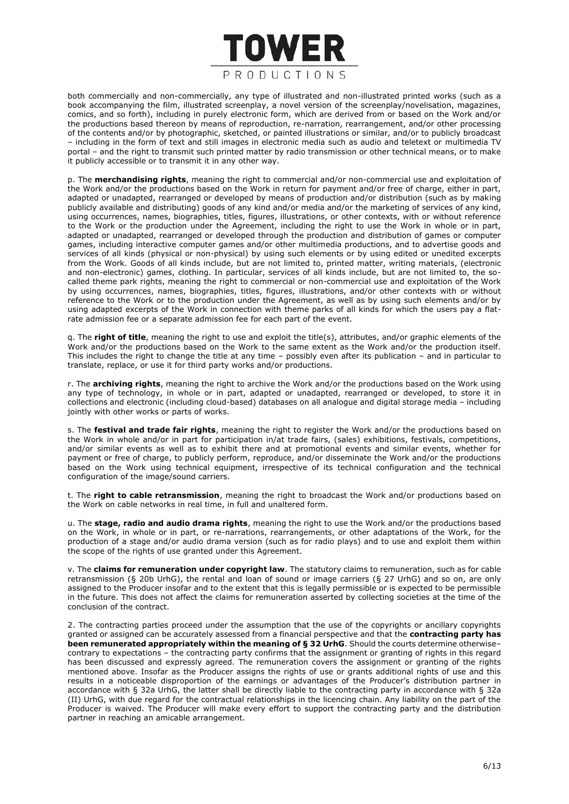

both commercially and non-commercially, any type of illustrated and non-illustrated printed works (such as a book accompanying the film, illustrated screenplay, a novel version of the screenplay/novelisation, magazines, comics, and so forth), including in purely electronic form, which are derived from or based on the Work and/or the productions based thereon by means of reproduction, re-narration, rearrangement, and/or other processing of the contents and/or by photographic, sketched, or painted illustrations or similar, and/or to publicly broadcast – including in the form of text and still images in electronic media such as audio and teletext or multimedia TV portal – and the right to transmit such printed matter by radio transmission or other technical means, or to make it publicly accessible or to transmit it in any other way.

p. The **merchandising rights**, meaning the right to commercial and/or non-commercial use and exploitation of the Work and/or the productions based on the Work in return for payment and/or free of charge, either in part, adapted or unadapted, rearranged or developed by means of production and/or distribution (such as by making publicly available and distributing) goods of any kind and/or media and/or the marketing of services of any kind, using occurrences, names, biographies, titles, figures, illustrations, or other contexts, with or without reference to the Work or the production under the Agreement, including the right to use the Work in whole or in part, adapted or unadapted, rearranged or developed through the production and distribution of games or computer games, including interactive computer games and/or other multimedia productions, and to advertise goods and services of all kinds (physical or non-physical) by using such elements or by using edited or unedited excerpts from the Work. Goods of all kinds include, but are not limited to, printed matter, writing materials, (electronic and non-electronic) games, clothing. In particular, services of all kinds include, but are not limited to, the socalled theme park rights, meaning the right to commercial or non-commercial use and exploitation of the Work by using occurrences, names, biographies, titles, figures, illustrations, and/or other contexts with or without reference to the Work or to the production under the Agreement, as well as by using such elements and/or by using adapted excerpts of the Work in connection with theme parks of all kinds for which the users pay a flatrate admission fee or a separate admission fee for each part of the event.

q. The **right of title**, meaning the right to use and exploit the title(s), attributes, and/or graphic elements of the Work and/or the productions based on the Work to the same extent as the Work and/or the production itself. This includes the right to change the title at any time – possibly even after its publication – and in particular to translate, replace, or use it for third party works and/or productions.

r. The **archiving rights**, meaning the right to archive the Work and/or the productions based on the Work using any type of technology, in whole or in part, adapted or unadapted, rearranged or developed, to store it in collections and electronic (including cloud-based) databases on all analogue and digital storage media – including jointly with other works or parts of works.

s. The **festival and trade fair rights**, meaning the right to register the Work and/or the productions based on the Work in whole and/or in part for participation in/at trade fairs, (sales) exhibitions, festivals, competitions, and/or similar events as well as to exhibit there and at promotional events and similar events, whether for payment or free of charge, to publicly perform, reproduce, and/or disseminate the Work and/or the productions based on the Work using technical equipment, irrespective of its technical configuration and the technical configuration of the image/sound carriers.

t. The **right to cable retransmission**, meaning the right to broadcast the Work and/or productions based on the Work on cable networks in real time, in full and unaltered form.

u. The **stage, radio and audio drama rights**, meaning the right to use the Work and/or the productions based on the Work, in whole or in part, or re-narrations, rearrangements, or other adaptations of the Work, for the production of a stage and/or audio drama version (such as for radio plays) and to use and exploit them within the scope of the rights of use granted under this Agreement.

v. The **claims for remuneration under copyright law**. The statutory claims to remuneration, such as for cable retransmission (§ 20b UrhG), the rental and loan of sound or image carriers (§ 27 UrhG) and so on, are only assigned to the Producer insofar and to the extent that this is legally permissible or is expected to be permissible in the future. This does not affect the claims for remuneration asserted by collecting societies at the time of the conclusion of the contract.

2. The contracting parties proceed under the assumption that the use of the copyrights or ancillary copyrights granted or assigned can be accurately assessed from a financial perspective and that the **contracting party has been remunerated appropriately within the meaning of § 32 UrhG**. Should the courts determine otherwise– contrary to expectations – the contracting party confirms that the assignment or granting of rights in this regard has been discussed and expressly agreed. The remuneration covers the assignment or granting of the rights mentioned above. Insofar as the Producer assigns the rights of use or grants additional rights of use and this results in a noticeable disproportion of the earnings or advantages of the Producer's distribution partner in accordance with § 32a UrhG, the latter shall be directly liable to the contracting party in accordance with § 32a (II) UrhG, with due regard for the contractual relationships in the licencing chain. Any liability on the part of the Producer is waived. The Producer will make every effort to support the contracting party and the distribution partner in reaching an amicable arrangement.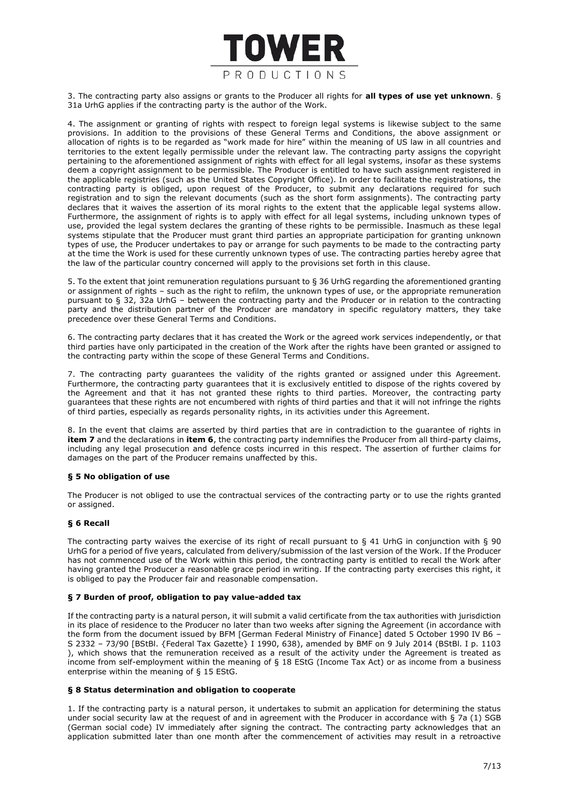

3. The contracting party also assigns or grants to the Producer all rights for **all types of use yet unknown**. § 31a UrhG applies if the contracting party is the author of the Work.

4. The assignment or granting of rights with respect to foreign legal systems is likewise subject to the same provisions. In addition to the provisions of these General Terms and Conditions, the above assignment or allocation of rights is to be regarded as "work made for hire" within the meaning of US law in all countries and territories to the extent legally permissible under the relevant law. The contracting party assigns the copyright pertaining to the aforementioned assignment of rights with effect for all legal systems, insofar as these systems deem a copyright assignment to be permissible. The Producer is entitled to have such assignment registered in the applicable registries (such as the United States Copyright Office). In order to facilitate the registrations, the contracting party is obliged, upon request of the Producer, to submit any declarations required for such registration and to sign the relevant documents (such as the short form assignments). The contracting party declares that it waives the assertion of its moral rights to the extent that the applicable legal systems allow. Furthermore, the assignment of rights is to apply with effect for all legal systems, including unknown types of use, provided the legal system declares the granting of these rights to be permissible. Inasmuch as these legal systems stipulate that the Producer must grant third parties an appropriate participation for granting unknown types of use, the Producer undertakes to pay or arrange for such payments to be made to the contracting party at the time the Work is used for these currently unknown types of use. The contracting parties hereby agree that the law of the particular country concerned will apply to the provisions set forth in this clause.

5. To the extent that joint remuneration regulations pursuant to § 36 UrhG regarding the aforementioned granting or assignment of rights – such as the right to refilm, the unknown types of use, or the appropriate remuneration pursuant to § 32, 32a UrhG – between the contracting party and the Producer or in relation to the contracting party and the distribution partner of the Producer are mandatory in specific regulatory matters, they take precedence over these General Terms and Conditions.

6. The contracting party declares that it has created the Work or the agreed work services independently, or that third parties have only participated in the creation of the Work after the rights have been granted or assigned to the contracting party within the scope of these General Terms and Conditions.

7. The contracting party guarantees the validity of the rights granted or assigned under this Agreement. Furthermore, the contracting party guarantees that it is exclusively entitled to dispose of the rights covered by the Agreement and that it has not granted these rights to third parties. Moreover, the contracting party guarantees that these rights are not encumbered with rights of third parties and that it will not infringe the rights of third parties, especially as regards personality rights, in its activities under this Agreement.

8. In the event that claims are asserted by third parties that are in contradiction to the guarantee of rights in **item 7** and the declarations in **item 6**, the contracting party indemnifies the Producer from all third-party claims, including any legal prosecution and defence costs incurred in this respect. The assertion of further claims for damages on the part of the Producer remains unaffected by this.

# **§ 5 No obligation of use**

The Producer is not obliged to use the contractual services of the contracting party or to use the rights granted or assigned.

# **§ 6 Recall**

The contracting party waives the exercise of its right of recall pursuant to § 41 UrhG in conjunction with § 90 UrhG for a period of five years, calculated from delivery/submission of the last version of the Work. If the Producer has not commenced use of the Work within this period, the contracting party is entitled to recall the Work after having granted the Producer a reasonable grace period in writing. If the contracting party exercises this right, it is obliged to pay the Producer fair and reasonable compensation.

#### **§ 7 Burden of proof, obligation to pay value-added tax**

If the contracting party is a natural person, it will submit a valid certificate from the tax authorities with jurisdiction in its place of residence to the Producer no later than two weeks after signing the Agreement (in accordance with the form from the document issued by BFM [German Federal Ministry of Finance] dated 5 October 1990 IV B6 – S 2332 – 73/90 [BStBl. {Federal Tax Gazette} I 1990, 638), amended by BMF on 9 July 2014 (BStBl. I p. 1103 ), which shows that the remuneration received as a result of the activity under the Agreement is treated as income from self-employment within the meaning of § 18 EStG (Income Tax Act) or as income from a business enterprise within the meaning of § 15 EStG.

#### **§ 8 Status determination and obligation to cooperate**

1. If the contracting party is a natural person, it undertakes to submit an application for determining the status under social security law at the request of and in agreement with the Producer in accordance with § 7a (1) SGB (German social code) IV immediately after signing the contract. The contracting party acknowledges that an application submitted later than one month after the commencement of activities may result in a retroactive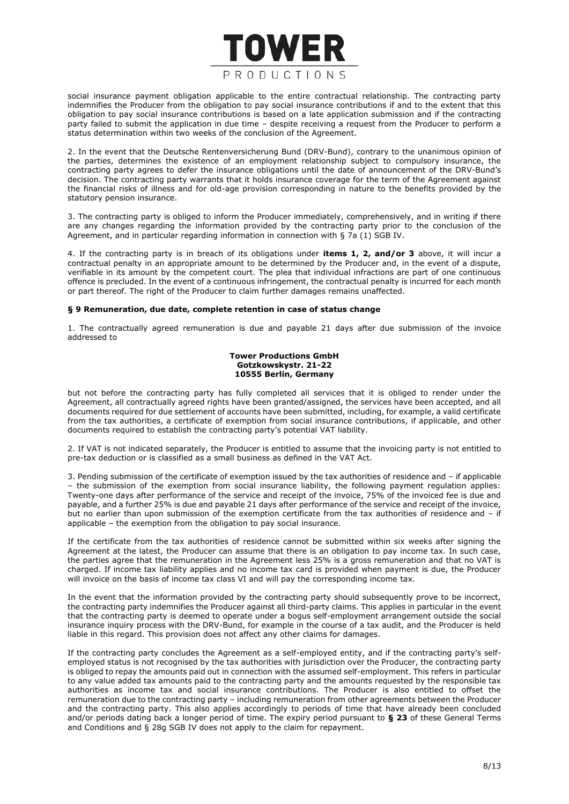

social insurance payment obligation applicable to the entire contractual relationship. The contracting party indemnifies the Producer from the obligation to pay social insurance contributions if and to the extent that this obligation to pay social insurance contributions is based on a late application submission and if the contracting party failed to submit the application in due time – despite receiving a request from the Producer to perform a status determination within two weeks of the conclusion of the Agreement.

2. In the event that the Deutsche Rentenversicherung Bund (DRV-Bund), contrary to the unanimous opinion of the parties, determines the existence of an employment relationship subject to compulsory insurance, the contracting party agrees to defer the insurance obligations until the date of announcement of the DRV-Bund's decision. The contracting party warrants that it holds insurance coverage for the term of the Agreement against the financial risks of illness and for old-age provision corresponding in nature to the benefits provided by the statutory pension insurance.

3. The contracting party is obliged to inform the Producer immediately, comprehensively, and in writing if there are any changes regarding the information provided by the contracting party prior to the conclusion of the Agreement, and in particular regarding information in connection with § 7a (1) SGB IV.

4. If the contracting party is in breach of its obligations under **items 1, 2, and/or 3** above, it will incur a contractual penalty in an appropriate amount to be determined by the Producer and, in the event of a dispute, verifiable in its amount by the competent court. The plea that individual infractions are part of one continuous offence is precluded. In the event of a continuous infringement, the contractual penalty is incurred for each month or part thereof. The right of the Producer to claim further damages remains unaffected.

## **§ 9 Remuneration, due date, complete retention in case of status change**

1. The contractually agreed remuneration is due and payable 21 days after due submission of the invoice addressed to

## **Tower Productions GmbH Gotzkowskystr. 21-22 10555 Berlin, Germany**

but not before the contracting party has fully completed all services that it is obliged to render under the Agreement, all contractually agreed rights have been granted/assigned, the services have been accepted, and all documents required for due settlement of accounts have been submitted, including, for example, a valid certificate from the tax authorities, a certificate of exemption from social insurance contributions, if applicable, and other documents required to establish the contracting party's potential VAT liability.

2. If VAT is not indicated separately, the Producer is entitled to assume that the invoicing party is not entitled to pre-tax deduction or is classified as a small business as defined in the VAT Act.

3. Pending submission of the certificate of exemption issued by the tax authorities of residence and – if applicable – the submission of the exemption from social insurance liability, the following payment regulation applies: Twenty-one days after performance of the service and receipt of the invoice, 75% of the invoiced fee is due and payable, and a further 25% is due and payable 21 days after performance of the service and receipt of the invoice, but no earlier than upon submission of the exemption certificate from the tax authorities of residence and – if applicable – the exemption from the obligation to pay social insurance.

If the certificate from the tax authorities of residence cannot be submitted within six weeks after signing the Agreement at the latest, the Producer can assume that there is an obligation to pay income tax. In such case, the parties agree that the remuneration in the Agreement less 25% is a gross remuneration and that no VAT is charged. If income tax liability applies and no income tax card is provided when payment is due, the Producer will invoice on the basis of income tax class VI and will pay the corresponding income tax.

In the event that the information provided by the contracting party should subsequently prove to be incorrect, the contracting party indemnifies the Producer against all third-party claims. This applies in particular in the event that the contracting party is deemed to operate under a bogus self-employment arrangement outside the social insurance inquiry process with the DRV-Bund, for example in the course of a tax audit, and the Producer is held liable in this regard. This provision does not affect any other claims for damages.

If the contracting party concludes the Agreement as a self-employed entity, and if the contracting party's selfemployed status is not recognised by the tax authorities with jurisdiction over the Producer, the contracting party is obliged to repay the amounts paid out in connection with the assumed self-employment. This refers in particular to any value added tax amounts paid to the contracting party and the amounts requested by the responsible tax authorities as income tax and social insurance contributions. The Producer is also entitled to offset the remuneration due to the contracting party – including remuneration from other agreements between the Producer and the contracting party. This also applies accordingly to periods of time that have already been concluded and/or periods dating back a longer period of time. The expiry period pursuant to **§ 23** of these General Terms and Conditions and § 28g SGB IV does not apply to the claim for repayment.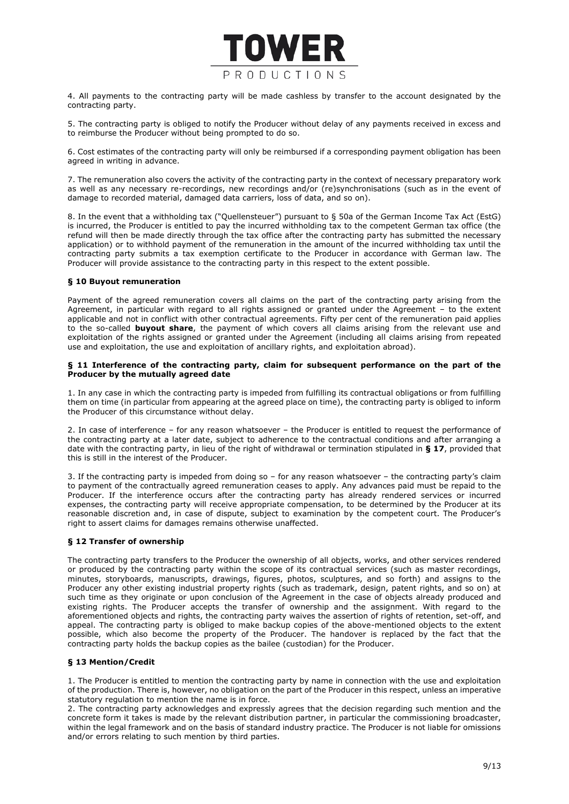

4. All payments to the contracting party will be made cashless by transfer to the account designated by the contracting party.

5. The contracting party is obliged to notify the Producer without delay of any payments received in excess and to reimburse the Producer without being prompted to do so.

6. Cost estimates of the contracting party will only be reimbursed if a corresponding payment obligation has been agreed in writing in advance.

7. The remuneration also covers the activity of the contracting party in the context of necessary preparatory work as well as any necessary re-recordings, new recordings and/or (re)synchronisations (such as in the event of damage to recorded material, damaged data carriers, loss of data, and so on).

8. In the event that a withholding tax ("Quellensteuer") pursuant to § 50a of the German Income Tax Act (EstG) is incurred, the Producer is entitled to pay the incurred withholding tax to the competent German tax office (the refund will then be made directly through the tax office after the contracting party has submitted the necessary application) or to withhold payment of the remuneration in the amount of the incurred withholding tax until the contracting party submits a tax exemption certificate to the Producer in accordance with German law. The Producer will provide assistance to the contracting party in this respect to the extent possible.

# **§ 10 Buyout remuneration**

Payment of the agreed remuneration covers all claims on the part of the contracting party arising from the Agreement, in particular with regard to all rights assigned or granted under the Agreement – to the extent applicable and not in conflict with other contractual agreements. Fifty per cent of the remuneration paid applies to the so-called **buyout share**, the payment of which covers all claims arising from the relevant use and exploitation of the rights assigned or granted under the Agreement (including all claims arising from repeated use and exploitation, the use and exploitation of ancillary rights, and exploitation abroad).

## **§ 11 Interference of the contracting party, claim for subsequent performance on the part of the Producer by the mutually agreed date**

1. In any case in which the contracting party is impeded from fulfilling its contractual obligations or from fulfilling them on time (in particular from appearing at the agreed place on time), the contracting party is obliged to inform the Producer of this circumstance without delay.

2. In case of interference – for any reason whatsoever – the Producer is entitled to request the performance of the contracting party at a later date, subject to adherence to the contractual conditions and after arranging a date with the contracting party, in lieu of the right of withdrawal or termination stipulated in **§ 17**, provided that this is still in the interest of the Producer.

3. If the contracting party is impeded from doing so – for any reason whatsoever – the contracting party's claim to payment of the contractually agreed remuneration ceases to apply. Any advances paid must be repaid to the Producer. If the interference occurs after the contracting party has already rendered services or incurred expenses, the contracting party will receive appropriate compensation, to be determined by the Producer at its reasonable discretion and, in case of dispute, subject to examination by the competent court. The Producer's right to assert claims for damages remains otherwise unaffected.

# **§ 12 Transfer of ownership**

The contracting party transfers to the Producer the ownership of all objects, works, and other services rendered or produced by the contracting party within the scope of its contractual services (such as master recordings, minutes, storyboards, manuscripts, drawings, figures, photos, sculptures, and so forth) and assigns to the Producer any other existing industrial property rights (such as trademark, design, patent rights, and so on) at such time as they originate or upon conclusion of the Agreement in the case of objects already produced and existing rights. The Producer accepts the transfer of ownership and the assignment. With regard to the aforementioned objects and rights, the contracting party waives the assertion of rights of retention, set-off, and appeal. The contracting party is obliged to make backup copies of the above-mentioned objects to the extent possible, which also become the property of the Producer. The handover is replaced by the fact that the contracting party holds the backup copies as the bailee (custodian) for the Producer.

# **§ 13 Mention/Credit**

1. The Producer is entitled to mention the contracting party by name in connection with the use and exploitation of the production. There is, however, no obligation on the part of the Producer in this respect, unless an imperative statutory regulation to mention the name is in force.

2. The contracting party acknowledges and expressly agrees that the decision regarding such mention and the concrete form it takes is made by the relevant distribution partner, in particular the commissioning broadcaster, within the legal framework and on the basis of standard industry practice. The Producer is not liable for omissions and/or errors relating to such mention by third parties.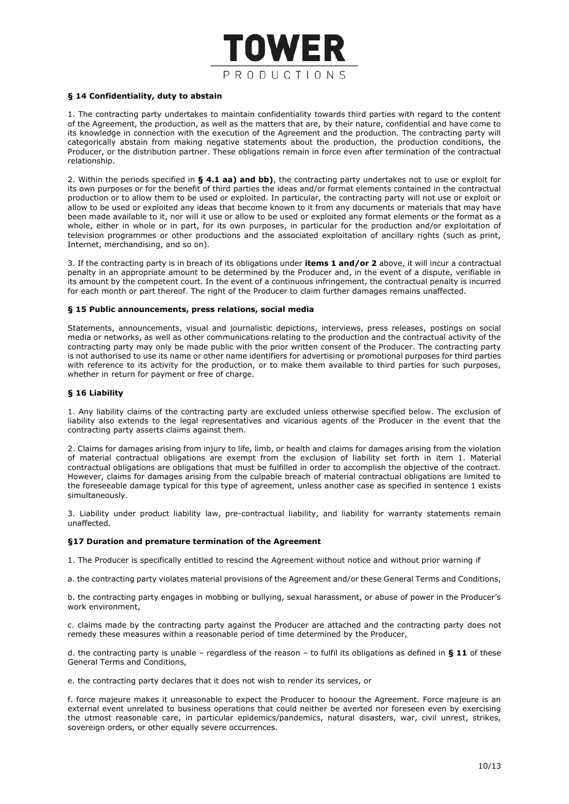

## **§ 14 Confidentiality, duty to abstain**

1. The contracting party undertakes to maintain confidentiality towards third parties with regard to the content of the Agreement, the production, as well as the matters that are, by their nature, confidential and have come to its knowledge in connection with the execution of the Agreement and the production. The contracting party will categorically abstain from making negative statements about the production, the production conditions, the Producer, or the distribution partner. These obligations remain in force even after termination of the contractual relationship.

2. Within the periods specified in **§ 4.1 aa) and bb)**, the contracting party undertakes not to use or exploit for its own purposes or for the benefit of third parties the ideas and/or format elements contained in the contractual production or to allow them to be used or exploited. In particular, the contracting party will not use or exploit or allow to be used or exploited any ideas that become known to it from any documents or materials that may have been made available to it, nor will it use or allow to be used or exploited any format elements or the format as a whole, either in whole or in part, for its own purposes, in particular for the production and/or exploitation of television programmes or other productions and the associated exploitation of ancillary rights (such as print, Internet, merchandising, and so on).

3. If the contracting party is in breach of its obligations under **items 1 and/or 2** above, it will incur a contractual penalty in an appropriate amount to be determined by the Producer and, in the event of a dispute, verifiable in its amount by the competent court. In the event of a continuous infringement, the contractual penalty is incurred for each month or part thereof. The right of the Producer to claim further damages remains unaffected.

#### **§ 15 Public announcements, press relations, social media**

Statements, announcements, visual and journalistic depictions, interviews, press releases, postings on social media or networks, as well as other communications relating to the production and the contractual activity of the contracting party may only be made public with the prior written consent of the Producer. The contracting party is not authorised to use its name or other name identifiers for advertising or promotional purposes for third parties with reference to its activity for the production, or to make them available to third parties for such purposes, whether in return for payment or free of charge.

#### **§ 16 Liability**

1. Any liability claims of the contracting party are excluded unless otherwise specified below. The exclusion of liability also extends to the legal representatives and vicarious agents of the Producer in the event that the contracting party asserts claims against them.

2. Claims for damages arising from injury to life, limb, or health and claims for damages arising from the violation of material contractual obligations are exempt from the exclusion of liability set forth in item 1. Material contractual obligations are obligations that must be fulfilled in order to accomplish the objective of the contract. However, claims for damages arising from the culpable breach of material contractual obligations are limited to the foreseeable damage typical for this type of agreement, unless another case as specified in sentence 1 exists simultaneously.

3. Liability under product liability law, pre-contractual liability, and liability for warranty statements remain unaffected.

#### **§17 Duration and premature termination of the Agreement**

1. The Producer is specifically entitled to rescind the Agreement without notice and without prior warning if

a. the contracting party violates material provisions of the Agreement and/or these General Terms and Conditions,

b. the contracting party engages in mobbing or bullying, sexual harassment, or abuse of power in the Producer's work environment,

c. claims made by the contracting party against the Producer are attached and the contracting party does not remedy these measures within a reasonable period of time determined by the Producer,

d. the contracting party is unable – regardless of the reason – to fulfil its obligations as defined in **§ 11** of these General Terms and Conditions,

e. the contracting party declares that it does not wish to render its services, or

f. force majeure makes it unreasonable to expect the Producer to honour the Agreement. Force majeure is an external event unrelated to business operations that could neither be averted nor foreseen even by exercising the utmost reasonable care, in particular epidemics/pandemics, natural disasters, war, civil unrest, strikes, sovereign orders, or other equally severe occurrences.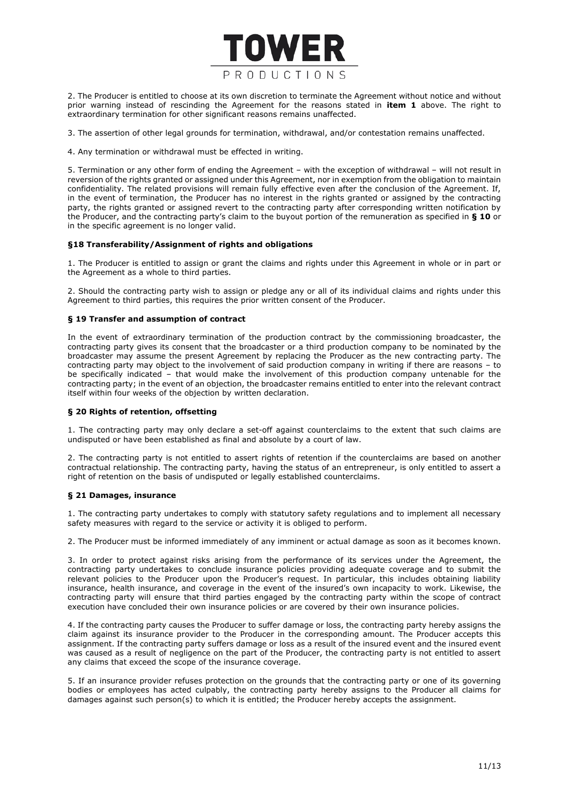

2. The Producer is entitled to choose at its own discretion to terminate the Agreement without notice and without prior warning instead of rescinding the Agreement for the reasons stated in **item 1** above. The right to extraordinary termination for other significant reasons remains unaffected.

3. The assertion of other legal grounds for termination, withdrawal, and/or contestation remains unaffected.

4. Any termination or withdrawal must be effected in writing.

5. Termination or any other form of ending the Agreement – with the exception of withdrawal – will not result in reversion of the rights granted or assigned under this Agreement, nor in exemption from the obligation to maintain confidentiality. The related provisions will remain fully effective even after the conclusion of the Agreement. If, in the event of termination, the Producer has no interest in the rights granted or assigned by the contracting party, the rights granted or assigned revert to the contracting party after corresponding written notification by the Producer, and the contracting party's claim to the buyout portion of the remuneration as specified in **§ 10** or in the specific agreement is no longer valid.

# **§18 Transferability/Assignment of rights and obligations**

1. The Producer is entitled to assign or grant the claims and rights under this Agreement in whole or in part or the Agreement as a whole to third parties.

2. Should the contracting party wish to assign or pledge any or all of its individual claims and rights under this Agreement to third parties, this requires the prior written consent of the Producer.

# **§ 19 Transfer and assumption of contract**

In the event of extraordinary termination of the production contract by the commissioning broadcaster, the contracting party gives its consent that the broadcaster or a third production company to be nominated by the broadcaster may assume the present Agreement by replacing the Producer as the new contracting party. The contracting party may object to the involvement of said production company in writing if there are reasons – to be specifically indicated – that would make the involvement of this production company untenable for the contracting party; in the event of an objection, the broadcaster remains entitled to enter into the relevant contract itself within four weeks of the objection by written declaration.

# **§ 20 Rights of retention, offsetting**

1. The contracting party may only declare a set-off against counterclaims to the extent that such claims are undisputed or have been established as final and absolute by a court of law.

2. The contracting party is not entitled to assert rights of retention if the counterclaims are based on another contractual relationship. The contracting party, having the status of an entrepreneur, is only entitled to assert a right of retention on the basis of undisputed or legally established counterclaims.

# **§ 21 Damages, insurance**

1. The contracting party undertakes to comply with statutory safety regulations and to implement all necessary safety measures with regard to the service or activity it is obliged to perform.

2. The Producer must be informed immediately of any imminent or actual damage as soon as it becomes known.

3. In order to protect against risks arising from the performance of its services under the Agreement, the contracting party undertakes to conclude insurance policies providing adequate coverage and to submit the relevant policies to the Producer upon the Producer's request. In particular, this includes obtaining liability insurance, health insurance, and coverage in the event of the insured's own incapacity to work. Likewise, the contracting party will ensure that third parties engaged by the contracting party within the scope of contract execution have concluded their own insurance policies or are covered by their own insurance policies.

4. If the contracting party causes the Producer to suffer damage or loss, the contracting party hereby assigns the claim against its insurance provider to the Producer in the corresponding amount. The Producer accepts this assignment. If the contracting party suffers damage or loss as a result of the insured event and the insured event was caused as a result of negligence on the part of the Producer, the contracting party is not entitled to assert any claims that exceed the scope of the insurance coverage.

5. If an insurance provider refuses protection on the grounds that the contracting party or one of its governing bodies or employees has acted culpably, the contracting party hereby assigns to the Producer all claims for damages against such person(s) to which it is entitled; the Producer hereby accepts the assignment.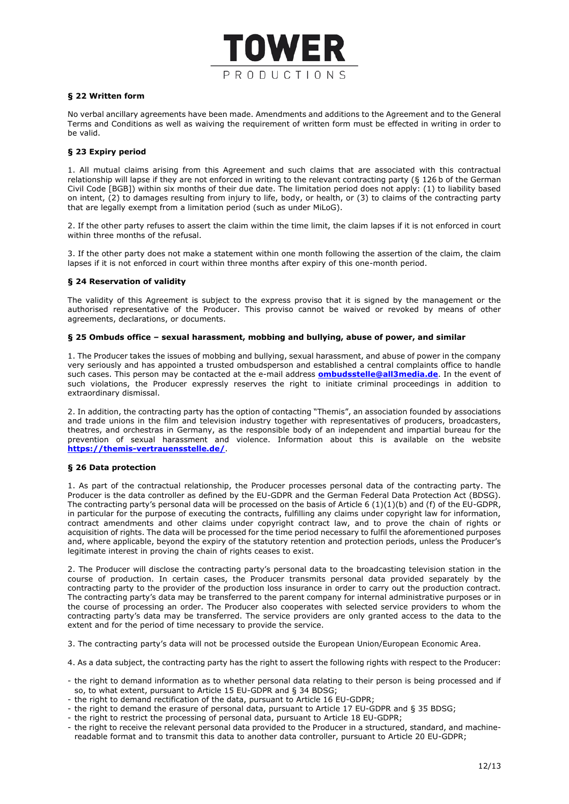

## **§ 22 Written form**

No verbal ancillary agreements have been made. Amendments and additions to the Agreement and to the General Terms and Conditions as well as waiving the requirement of written form must be effected in writing in order to be valid.

## **§ 23 Expiry period**

1. All mutual claims arising from this Agreement and such claims that are associated with this contractual relationship will lapse if they are not enforced in writing to the relevant contracting party (§ 126 b of the German Civil Code [BGB]) within six months of their due date. The limitation period does not apply: (1) to liability based on intent, (2) to damages resulting from injury to life, body, or health, or (3) to claims of the contracting party that are legally exempt from a limitation period (such as under MiLoG).

2. If the other party refuses to assert the claim within the time limit, the claim lapses if it is not enforced in court within three months of the refusal.

3. If the other party does not make a statement within one month following the assertion of the claim, the claim lapses if it is not enforced in court within three months after expiry of this one-month period.

## **§ 24 Reservation of validity**

The validity of this Agreement is subject to the express proviso that it is signed by the management or the authorised representative of the Producer. This proviso cannot be waived or revoked by means of other agreements, declarations, or documents.

#### **§ 25 Ombuds office – sexual harassment, mobbing and bullying, abuse of power, and similar**

1. The Producer takes the issues of mobbing and bullying, sexual harassment, and abuse of power in the company very seriously and has appointed a trusted ombudsperson and established a central complaints office to handle such cases. This person may be contacted at the e-mail address **[ombudsstelle@all3media.de](mailto:ombudsstelle@all3media.de)**. In the event of such violations, the Producer expressly reserves the right to initiate criminal proceedings in addition to extraordinary dismissal.

2. In addition, the contracting party has the option of contacting "Themis", an association founded by associations and trade unions in the film and television industry together with representatives of producers, broadcasters, theatres, and orchestras in Germany, as the responsible body of an independent and impartial bureau for the prevention of sexual harassment and violence. Information about this is available on the website **<https://themis-vertrauensstelle.de/>**.

#### **§ 26 Data protection**

1. As part of the contractual relationship, the Producer processes personal data of the contracting party. The Producer is the data controller as defined by the EU-GDPR and the German Federal Data Protection Act (BDSG). The contracting party's personal data will be processed on the basis of Article 6  $(1)(1)(b)$  and (f) of the EU-GDPR, in particular for the purpose of executing the contracts, fulfilling any claims under copyright law for information, contract amendments and other claims under copyright contract law, and to prove the chain of rights or acquisition of rights. The data will be processed for the time period necessary to fulfil the aforementioned purposes and, where applicable, beyond the expiry of the statutory retention and protection periods, unless the Producer's legitimate interest in proving the chain of rights ceases to exist.

2. The Producer will disclose the contracting party's personal data to the broadcasting television station in the course of production. In certain cases, the Producer transmits personal data provided separately by the contracting party to the provider of the production loss insurance in order to carry out the production contract. The contracting party's data may be transferred to the parent company for internal administrative purposes or in the course of processing an order. The Producer also cooperates with selected service providers to whom the contracting party's data may be transferred. The service providers are only granted access to the data to the extent and for the period of time necessary to provide the service.

3. The contracting party's data will not be processed outside the European Union/European Economic Area.

- 4. As a data subject, the contracting party has the right to assert the following rights with respect to the Producer:
- the right to demand information as to whether personal data relating to their person is being processed and if so, to what extent, pursuant to Article 15 EU-GDPR and § 34 BDSG;
- the right to demand rectification of the data, pursuant to Article 16 EU-GDPR;
- the right to demand the erasure of personal data, pursuant to Article 17 EU-GDPR and § 35 BDSG;
- the right to restrict the processing of personal data, pursuant to Article 18 EU-GDPR;
- the right to receive the relevant personal data provided to the Producer in a structured, standard, and machinereadable format and to transmit this data to another data controller, pursuant to Article 20 EU-GDPR;